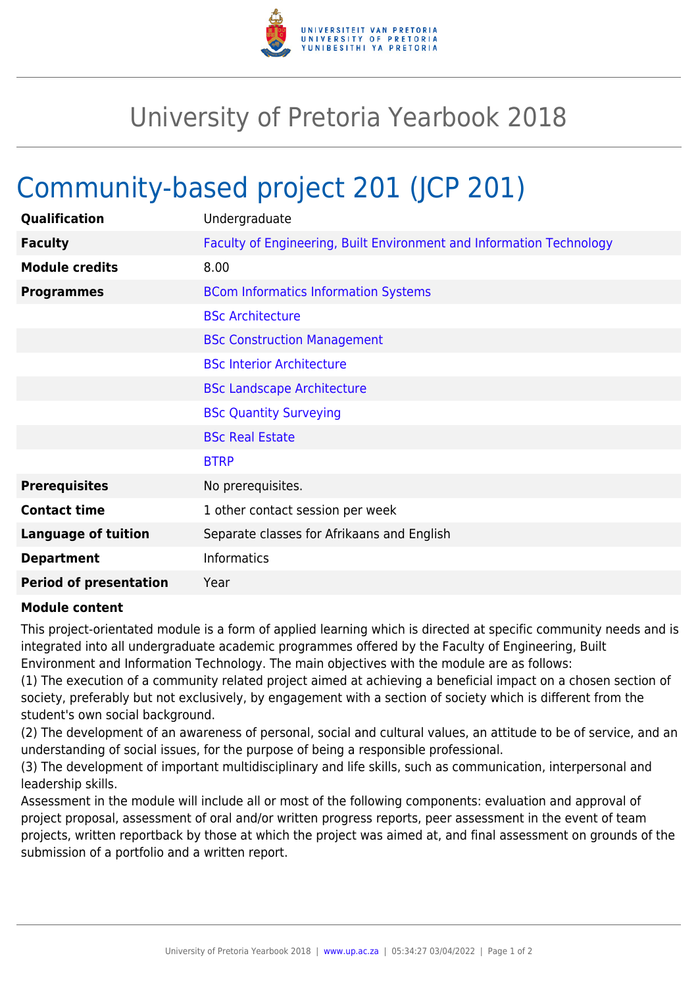

## University of Pretoria Yearbook 2018

## Community-based project 201 (JCP 201)

| Qualification                 | Undergraduate                                                        |
|-------------------------------|----------------------------------------------------------------------|
| <b>Faculty</b>                | Faculty of Engineering, Built Environment and Information Technology |
| <b>Module credits</b>         | 8.00                                                                 |
| <b>Programmes</b>             | <b>BCom Informatics Information Systems</b>                          |
|                               | <b>BSc Architecture</b>                                              |
|                               | <b>BSc Construction Management</b>                                   |
|                               | <b>BSc Interior Architecture</b>                                     |
|                               | <b>BSc Landscape Architecture</b>                                    |
|                               | <b>BSc Quantity Surveying</b>                                        |
|                               | <b>BSc Real Estate</b>                                               |
|                               | <b>BTRP</b>                                                          |
| <b>Prerequisites</b>          | No prerequisites.                                                    |
| <b>Contact time</b>           | 1 other contact session per week                                     |
| <b>Language of tuition</b>    | Separate classes for Afrikaans and English                           |
| <b>Department</b>             | <b>Informatics</b>                                                   |
| <b>Period of presentation</b> | Year                                                                 |

## **Module content**

This project-orientated module is a form of applied learning which is directed at specific community needs and is integrated into all undergraduate academic programmes offered by the Faculty of Engineering, Built Environment and Information Technology. The main objectives with the module are as follows:

(1) The execution of a community related project aimed at achieving a beneficial impact on a chosen section of society, preferably but not exclusively, by engagement with a section of society which is different from the student's own social background.

(2) The development of an awareness of personal, social and cultural values, an attitude to be of service, and an understanding of social issues, for the purpose of being a responsible professional.

(3) The development of important multidisciplinary and life skills, such as communication, interpersonal and leadership skills.

Assessment in the module will include all or most of the following components: evaluation and approval of project proposal, assessment of oral and/or written progress reports, peer assessment in the event of team projects, written reportback by those at which the project was aimed at, and final assessment on grounds of the submission of a portfolio and a written report.